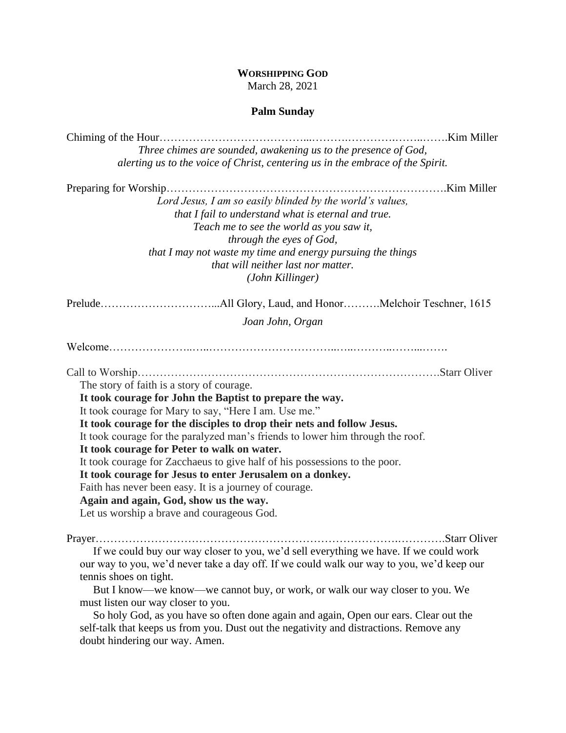## **WORSHIPPING GOD** March 28, 2021

## **Palm Sunday**

| Three chimes are sounded, awakening us to the presence of God,                            |
|-------------------------------------------------------------------------------------------|
| alerting us to the voice of Christ, centering us in the embrace of the Spirit.            |
|                                                                                           |
| Lord Jesus, I am so easily blinded by the world's values,                                 |
| that I fail to understand what is eternal and true.                                       |
| Teach me to see the world as you saw it,                                                  |
| through the eyes of God,                                                                  |
| that I may not waste my time and energy pursuing the things                               |
| that will neither last nor matter.                                                        |
| (John Killinger)                                                                          |
|                                                                                           |
| Joan John, Organ                                                                          |
|                                                                                           |
|                                                                                           |
| The story of faith is a story of courage.                                                 |
| It took courage for John the Baptist to prepare the way.                                  |
| It took courage for Mary to say, "Here I am. Use me."                                     |
| It took courage for the disciples to drop their nets and follow Jesus.                    |
| It took courage for the paralyzed man's friends to lower him through the roof.            |
| It took courage for Peter to walk on water.                                               |
| It took courage for Zacchaeus to give half of his possessions to the poor.                |
| It took courage for Jesus to enter Jerusalem on a donkey.                                 |
| Faith has never been easy. It is a journey of courage.                                    |
| Again and again, God, show us the way.                                                    |
| Let us worship a brave and courageous God.                                                |
|                                                                                           |
| If we could buy our way closer to you, we'd sell everything we have. If we could work     |
| our way to you, we'd never take a day off. If we could walk our way to you, we'd keep our |
| tennis shoes on tight.                                                                    |
| But I know-we know-we cannot buy, or work, or walk our way closer to you. We              |
| must listen our way closer to you.                                                        |
| So holy God, as you have so often done again and again, Open our ears. Clear out the      |
| self-talk that keeps us from you. Dust out the negativity and distractions. Remove any    |

doubt hindering our way. Amen.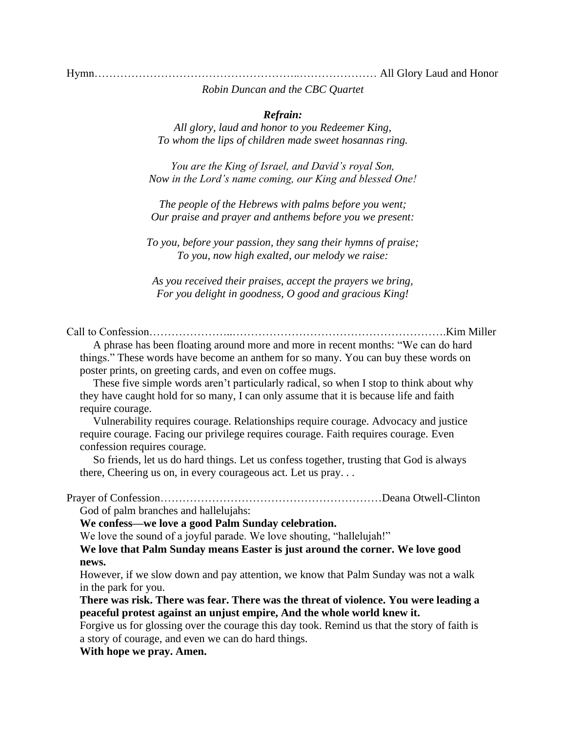Hymn………………………………………………..………………… All Glory Laud and Honor

*Robin Duncan and the CBC Quartet*

## *Refrain:*

*All glory, laud and honor to you Redeemer King, To whom the lips of children made sweet hosannas ring.*

*You are the King of Israel, and David's royal Son, Now in the Lord's name coming, our King and blessed One!*

*The people of the Hebrews with palms before you went; Our praise and prayer and anthems before you we present:*

*To you, before your passion, they sang their hymns of praise; To you, now high exalted, our melody we raise:*

*As you received their praises, accept the prayers we bring, For you delight in goodness, O good and gracious King!*

Call to Confession…………………..………………………………………………….Kim Miller

A phrase has been floating around more and more in recent months: "We can do hard things." These words have become an anthem for so many. You can buy these words on poster prints, on greeting cards, and even on coffee mugs.

These five simple words aren't particularly radical, so when I stop to think about why they have caught hold for so many, I can only assume that it is because life and faith require courage.

Vulnerability requires courage. Relationships require courage. Advocacy and justice require courage. Facing our privilege requires courage. Faith requires courage. Even confession requires courage.

So friends, let us do hard things. Let us confess together, trusting that God is always there, Cheering us on, in every courageous act. Let us pray. . .

Prayer of Confession……………………………………………………Deana Otwell-Clinton God of palm branches and hallelujahs:

**We confess—we love a good Palm Sunday celebration.**

We love the sound of a joyful parade. We love shouting, "hallelujah!"

**We love that Palm Sunday means Easter is just around the corner. We love good news.**

However, if we slow down and pay attention, we know that Palm Sunday was not a walk in the park for you.

**There was risk. There was fear. There was the threat of violence. You were leading a peaceful protest against an unjust empire, And the whole world knew it.**

Forgive us for glossing over the courage this day took. Remind us that the story of faith is a story of courage, and even we can do hard things.

**With hope we pray. Amen.**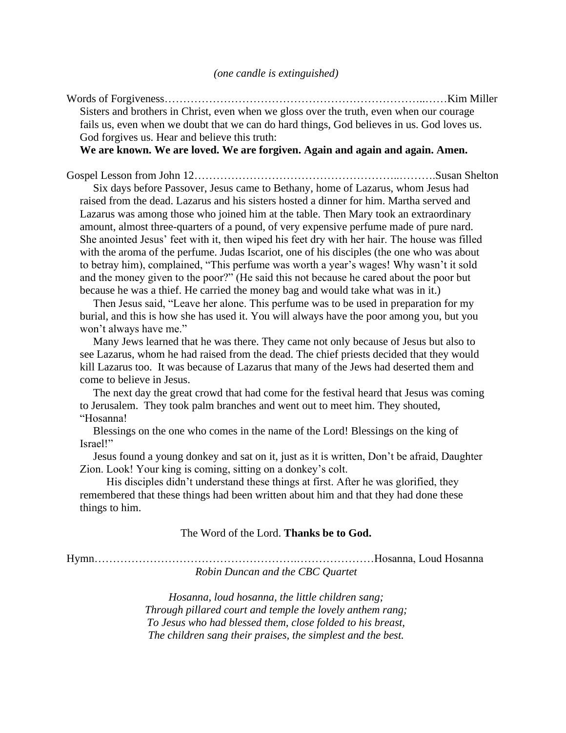Words of Forgiveness……………………………………………………………..……Kim Miller Sisters and brothers in Christ, even when we gloss over the truth, even when our courage fails us, even when we doubt that we can do hard things, God believes in us. God loves us. God forgives us. Hear and believe this truth:

**We are known. We are loved. We are forgiven. Again and again and again. Amen.**

Gospel Lesson from John 12………………………………………………..……….Susan Shelton

Six days before Passover, Jesus came to Bethany, home of Lazarus, whom Jesus had raised from the dead. Lazarus and his sisters hosted a dinner for him. Martha served and Lazarus was among those who joined him at the table. Then Mary took an extraordinary amount, almost three-quarters of a pound, of very expensive perfume made of pure nard. She anointed Jesus' feet with it, then wiped his feet dry with her hair. The house was filled with the aroma of the perfume. Judas Iscariot, one of his disciples (the one who was about to betray him), complained, "This perfume was worth a year's wages! Why wasn't it sold and the money given to the poor?" (He said this not because he cared about the poor but because he was a thief. He carried the money bag and would take what was in it.)

Then Jesus said, "Leave her alone. This perfume was to be used in preparation for my burial, and this is how she has used it. You will always have the poor among you, but you won't always have me."

Many Jews learned that he was there. They came not only because of Jesus but also to see Lazarus, whom he had raised from the dead. The chief priests decided that they would kill Lazarus too. It was because of Lazarus that many of the Jews had deserted them and come to believe in Jesus.

The next day the great crowd that had come for the festival heard that Jesus was coming to Jerusalem. They took palm branches and went out to meet him. They shouted, "Hosanna!

Blessings on the one who comes in the name of the Lord! Blessings on the king of Israel!"

Jesus found a young donkey and sat on it, just as it is written, Don't be afraid, Daughter Zion. Look! Your king is coming, sitting on a donkey's colt.

His disciples didn't understand these things at first. After he was glorified, they remembered that these things had been written about him and that they had done these things to him.

The Word of the Lord. **Thanks be to God.**

Hymn……………………………………………….…………………Hosanna, Loud Hosanna *Robin Duncan and the CBC Quartet*

> *Hosanna, loud hosanna, the little children sang; Through pillared court and temple the lovely anthem rang; To Jesus who had blessed them, close folded to his breast, The children sang their praises, the simplest and the best.*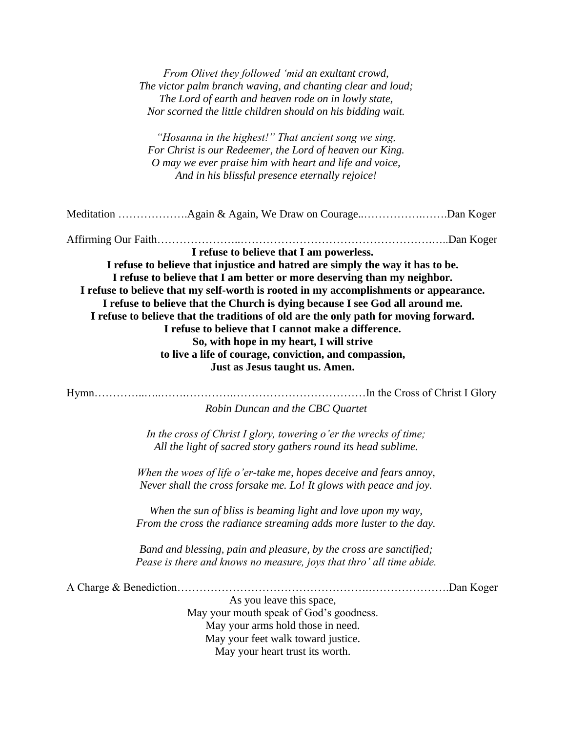*From Olivet they followed 'mid an exultant crowd, The victor palm branch waving, and chanting clear and loud; The Lord of earth and heaven rode on in lowly state, Nor scorned the little children should on his bidding wait.*

*"Hosanna in the highest!" That ancient song we sing, For Christ is our Redeemer, the Lord of heaven our King. O may we ever praise him with heart and life and voice, And in his blissful presence eternally rejoice!*

| I refuse to believe that I am powerless.<br>I refuse to believe that injustice and hatred are simply the way it has to be.<br>I refuse to believe that I am better or more deserving than my neighbor.<br>I refuse to believe that my self-worth is rooted in my accomplishments or appearance.<br>I refuse to believe that the Church is dying because I see God all around me.<br>I refuse to believe that the traditions of old are the only path for moving forward.<br>I refuse to believe that I cannot make a difference.<br>So, with hope in my heart, I will strive<br>to live a life of courage, conviction, and compassion,<br>Just as Jesus taught us. Amen. |
|--------------------------------------------------------------------------------------------------------------------------------------------------------------------------------------------------------------------------------------------------------------------------------------------------------------------------------------------------------------------------------------------------------------------------------------------------------------------------------------------------------------------------------------------------------------------------------------------------------------------------------------------------------------------------|
| Robin Duncan and the CBC Quartet                                                                                                                                                                                                                                                                                                                                                                                                                                                                                                                                                                                                                                         |
| In the cross of Christ I glory, towering $o$ 'er the wrecks of time;<br>All the light of sacred story gathers round its head sublime.                                                                                                                                                                                                                                                                                                                                                                                                                                                                                                                                    |
| When the woes of life o'er-take me, hopes deceive and fears annoy,<br>Never shall the cross forsake me. Lo! It glows with peace and joy.                                                                                                                                                                                                                                                                                                                                                                                                                                                                                                                                 |
| When the sun of bliss is beaming light and love upon my way,<br>From the cross the radiance streaming adds more luster to the day.                                                                                                                                                                                                                                                                                                                                                                                                                                                                                                                                       |
| Band and blessing, pain and pleasure, by the cross are sanctified;<br>Pease is there and knows no measure, joys that thro' all time abide.                                                                                                                                                                                                                                                                                                                                                                                                                                                                                                                               |
| As you leave this space,<br>May your mouth speak of God's goodness.<br>May your arms hold those in need.<br>May your feet walk toward justice.<br>May your heart trust its worth.                                                                                                                                                                                                                                                                                                                                                                                                                                                                                        |